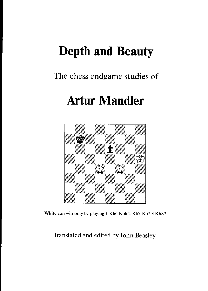# Depth and Beauty

## The chess endgame studies of

# Artur Mandler



White can win only by playing 1 Kh6 Kb6 2 Kh7 Kb7 3 Kh8!!

translated and edited by John Beasley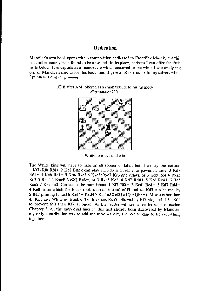## **Dedication**

Mandler's own book opens with a composition dedicated to František Macek, but this has unfortunately been found to be unsound. In its place, perhaps I can offer the little trifle below. It encapsulates a manoeuvre which occurred to me while I was analysing one of Mandler's studies for this book, and it gave a lot of trouble to my solvers when I published it in *diagrammes*.



## JDB after AM, offered as a small tribute to bis mernory diagrammes 2001

White to move and win

Tbe White king will have to hide on e8 sooner or later, but if we try the natuml <sup>1</sup>Kif/KfB Rf4+ 2 Ke8 Black can play 2...Kd3 and reach his pawns in timc; 3 Kd7  $Rd4+ 4$  Ke6 Re4+ 5 Kd6 Rxe7 6 Kxe7/Rxe7 Kc3 and draws, or 3 Kd8 Re4 4 Rxa5 Kc3 5 Rxa4!? Rxa4! 6 e8Q Ra8+, or 3 Rxa5 Kc2! 4 Kd7 Rd4+ 5 Ke6 Re4+ 6 Re5 Rxe5 7 Kxe5 a3. Correct is the roundabout 1 Kf7 Rf4+ 2 Ke6! Re4+ 3 Kd7 Rd4+ **4 Ke8**, after which the Black rook is on  $d4$  instead of  $f4$  and  $4...Kd3$  can be met by 5 Rd7 pinning  $(5...a36 Rxd4+ Kxd47 Kd7 a2 8 e8Q a1Q 9 Qh8+)$ . Moves other than 4...Kd3 give White no rrouble (he threatens Rxa5 followed by Kf/ etc, and if 4...RdS to prevent this then Kf/ at once). As the readcr will see when he or she reaches Chapter 3, all the individual lines in this had already been discovered by Mandler; my only contribution was to add the little walk by the Whire king to tie everything together.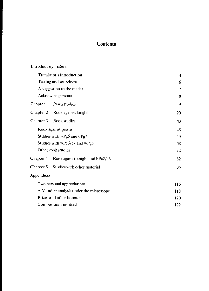## **Contents**

| Introductory material                   |                                           |     |
|-----------------------------------------|-------------------------------------------|-----|
| Translator's introduction               |                                           | 4   |
| Testing and soundness                   |                                           | 6   |
| A suggestion to the reader              |                                           | 7   |
| Acknowledgements                        |                                           | 8   |
| Chapter 1                               | Pawn studies                              | 9   |
|                                         | Chapter 2 Rook against knight             | 29  |
| Chapter 3                               | Rook studies                              | 43  |
| Rook against pawns                      |                                           | 43  |
| Studies with wPg6 and bPg7              |                                           | 49  |
| Studies with wPe6/e7 and wPg6           |                                           | 58  |
| Other rook studies                      |                                           | 72  |
|                                         | Chapter 4 Rook against knight and bPa2/a3 | 82  |
|                                         | Chapter 5 Studies with other material     | 95  |
| Appendices                              |                                           |     |
| Two personal appreciations              |                                           | 116 |
| A Mandler analysis under the microscope |                                           | 118 |
| Prizes and other honours                |                                           | 120 |
| Compositions omitted                    |                                           | 122 |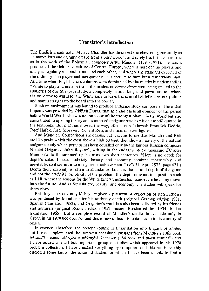## Translator's introduction

The English grandmaster Murray Chandler has described the chess endgame study as "a marvellous and calmjng cscape from a busy world", and mrely has this bccn as true as in the work of the Bohemian composer Artur Mandler (1891-1971). He was a producr of the ricb chess culture of Central Europe, where a host of fine players and analysts regularly met and stimulated each other, and where the standard expected of the ordinary club player and newspaper reader appears to have been remarkably high. At a time when English chess columns were dominated by the relatively undemanding "White to play and mate in two", the readers of Prager Presse were being treated to the subtleties of our title-page study, a completely natural king-and-pawn position where the only way to win is for the White king to leave the central battlefield severely alone and march straight up the board into the corner.

Such an environmont was bound to produce endgame study composers. The initial impetus was provided by Oldřich Duras, that splendid chess all-rounder of the period before World War I, who was not only one of the strongest players in the world but also contributed to opening theory and composed endgame studies which are still quoted in the textbook. But if Dums showed the way, others soon followed: Franrisek Dedrle, Josef Hašek, Josef Moravec, Richard Réti, and a host of lesser figures.

And Mandler. Comparisons are odious, but it seems to me that Mandler and Réti are like peaks which rise even above a high plateau; they show a mastery of the natural endgame study which pcrhaps has been equalled only by the famous Russian composer Nikolai Grigoriev. John Roycroft, writing in the endgame study magazine  $EG$  after Mandler's death, summed up his work two short sentences: "Here is no deptlt fot depth's sake. Instead, subtlety, beauty and economy combine inextricably and inevitably, so it seems, into one glorious achievement."  $(EG31,$  April 1973, page 421.) Depth there certainly is, often in abundance, but it is the natural depth of the game and not the artificial complexity of the problem: the depth inherent in a position such as 1.10, where the reasons for the Whire king's unexpected manoeuvre lie many movcs into the future. And as for subtlety, beauty, and economy, his studies will speak for tnemselves,

But they can speak only if they are given a platform. A collection of Réti's studies was produced by Mandler after his untimely death (original Cerman cdition 1931, Spanish translation 1983), and Grigoriev's work has also been collected by his friends and admirers (original Russian edition 1952, second Russian edition 1954, Italian translation 1965). But a complete record of Mandler's studies is available only in Czech in his 1970 book Studie, and this is now difficult to obtain even in its country of origin.

In essence, therefore, the present volume is a translation into English of Studie, but I have supplemented the text with occasional passages from Mandler's 1965 book 64 studií z oboru věžových a pěšcových koncovek ("64 rook and pawn studies") and I have added a small but important group of studies which appeared in his 1970 problem collection. I have checked evcrything by computer, and this has inevitably disclosed some faults; the unsound studies for which I have been unable to find a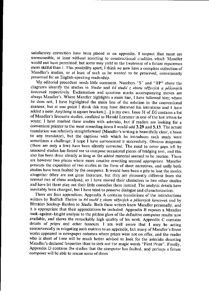satisfactory correction have been placed in an appendix. I suspect that most are unrescueable, at least without resorting to constructional crudities which Mandler would not have permitted, but some may yield to the treatment of a future repairman more skilful than I. This possibility apart, I think we now have a complete collection of Mandler's studies, or at least of such as he wanted to be preserved, conveniently presented for an English-speaking readcrship.

My editorial procedure needs little comment. Numbers "S" and "RP" above the diagrams identify the studies in Studie and 64 studii z oboru věžových a pěšcových koncovek respectively. Exclamation and question marks accompanying moves are always Mandler's. Where Mandler highlights a main line, I have followed him; where he does not, I have highlighted the main line of the solution in the conventional manner, but at one poiot I think this may have distorted his intcntions and I have added a note. Anything in square brackets  $[...]$  is my own. Issue 31 of  $EG$  contains a list of Mandler's favourite studies, confided to Harold Lommer in one of the last letters he wrote; I have marked these studies with asterisks, but if readers are looking for a convenient pointer to the most rewarding items I would add 3.29 and 5.13. The actual translation was relatively straightforward (Mandler's writing is beautifully clear, a boon to any translator), but the captions with which he introduces each study were sometimes a challenge; I hope I have surmounted it successfully. Obvious misprints (there are only a few) have been silently corrected. The need to cover gaps left by unsound studies has forced me to compose occasional pieces of bridging text, and this also has been done silently as long as the added material seemed to be routine. There are however two places where more creative rewriting seemed appropriate. Mandler presents the exposition of two studies in the form of short narratives, and sadly both studies have been faulted by the computer. It would have been a pity to lose the stories altogether (they are not great literature, but they are pleasantly different from the normal run of chess analysis), so I have moved their characters to two other studies and have let them play out their little comedies there instead. The analytic details have inevitably been changed, but I have tried to preserve dialogue and characterization.

There are four appendices. Appendix A contains translations of the introductions written by Bedřich Thelen to 64 studií z oboru věžových a pěšcových koncovek and by Břetislav Soukup-Bardon to Studie. Both these writers knew Mandler personally, and it is appropriate that their appreciations be included. Appendix B exposes a Mandler rook-against-knight analysis to the pitiless glare of the definitive computer results now available, and shows the remarkably high quality of his work. Appendix  $C$  contains details of prizes and other honours. I am well aware that I may be acting controversially in relegating such matters to an appendix, but many of Mandler's finest works appeared in newspaper columns where prizes were not on offer, and the reader who is short of time will be much better advised to look for the asterisks denoting Mandler's declared favourites than to seek out the magic words "First Prize". Finally, Appendix D contains the studies that the computer has faulted, and perhaps a future composer will be able to rescue some of them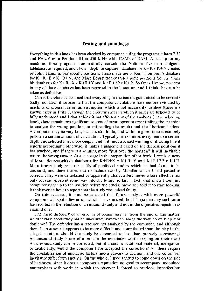#### Testing and soundness

Everything in this book has been checked by computer, using the programs Hiarcs 7.32 and Fritz 6 on a Pentium III at 450 MHz with 128Mb of RAM. As set up on my machine, these programs automatically consult the Nalimov five-man endgame tablebases as required, and also a "depth to capture" database for  $K+R$  v  $K+N$  created by John Tamplin- For specific positions, I also made use of Ken Thompson's database for  $K+R+B$  v  $K+B+N$ , and Marc Bourzutschky tested some positions fror me using his databases for  $K+R+X$  v  $K+R+Y$  and  $K+R+2P$  v  $K+R$ . So far as I know, no error in any of these databases has been reported in the literature, and I think they can be taken as definitive.

Can it therefore be assumed that everything in the book is guaranteed to be correct? Sadly, no. Even if we assume that the computer calculations have not been vitiated by machine or program error, an assumption which is not necessarily justified (there is a known error in Fritz  $6$ , though the circumstances in which it arises are believed to be fully understood and I don't think it has affected any of the analyses I have relied on here), there remain two significant sources of error: operator error (telling the machine to analyse the wrong position, or misreading the result) and the "horizon" effect. A computer may be very fast, but ir is still finitc, and within a givcn time it can only perform a certain amount of calculation. Typically, it examines every line to a certain depth and selected lines more deeply, and if it finds a forced winning or drawing line it reports accordingly; otherwise, it makes a judgement based on the deepest positions it has reached, and if there is a winning move "just over the horizon" it will inevitable return the wrong answer. At a late stage in the preparation of the book, I received news of Marc Bourzutschky's databases for  $K+R+X$  v  $K+R+Y$  and  $K+R+2P$  v  $K+R$ . Marc immediately sent me a file of publisbed studies which he had found to be unsound, and these turned out to include two by Mandler which I had passed as correct. They were demolished by apparently characterless moves whose effectiveness only became apparent some way into thc futurc: so far, in fact, that when I took my computer right up to the position before the crucial move and told it to start looking, it took over an hour to report that the study was indeed faulty.

On this evidencc, it must be expected that future analysts with more poweful computers will spot a few errors which I have missed, but I hope that any such error has resulted in the retention of an unsound study and not in the unjustified rejection of a sound one.

The mere discovery of an error is of course very far from the end of the matter. An otherwise good study has an inaccuracy somewhere along the way; do we keep it or don't we? The defender has a resource not analysed by the composer, and although there is an answer it appears to be more difficult and complicated than the play in the alleged solution; should the study be discarded as less than properly convincing? An unsound study is one of a set; are the remainder worth keeping on their own? An unsound study can be corrected, but at a cost in additional material, inelegance, or aftificiality; would the composer have accepted the correction? All these require the crystallization of impfecise facton into a yes-or-no decision, and one editor will inevitably differ from another. On the whole, I have tended to come down on the side ofharshness, since it does a composer's reputation no good to accompany undoubted masterpieces with works in which the observer is forced to overlook imperfections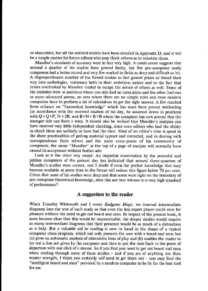or obscurities: but all the omitted studies have been detailed io Appendix D, and it will be a simple matter for future editors who may think otherwise to reinstate them.

Mandler's standards of accuracy were in fact very high. A crude count suggests that around a quarter of his studies have proved faulty, but few pre-computer study composers had a better record and very few worked in fields as deep and difficult as his. A disproportionate number of the flawed studies in fact gained prizes or found their way into anthologies. tcstimony both to their ambitious nature and to thc fact that errors overlooked by Mandler tended to escape the notice of others as well. Some of the mistakes were in positions where one side had an extra piece and the other had one or more advanced pawns, an area where there are no simple rules and even modern computers bave to pcform a lot of calculation to get the right answcr. A few resulted from reliance on "theoretical knowledge" which has since been proved misleading (in accordance with the received wisdom of his day, he assumed draws in positions with Q v Q+P, N v 2B, and B+N v R+B where the computer has now proved that the stronger side can force a win). It should also be realised that Mandler's analyses can have received very little independent checking, since even editors who had the abjlity to check them are unlikely to have had the time . Most of an editor's time is spent in the sheer practicalities of getting material typeset and corrected, and in dealing with correspondence from solvers and the more error-prone of his community of composers; the name "Mandler" at the top of a page of analysis will normally have caused its acceptancc without fufther ado.

Look at it the other way round. An impartial examination by the powerful and pitiless computers of the present day has indicated that around three-quarters of Mandler's studies were correct, and I doubt if even the perfect knowledge that may become availablc at some time in tbe future will reduce this figure below 70 per cent\_ Given that most of his studies were deep and that some were right on the boundary of pre-computer theoretical knowledgc, does this not bear witness to a very high standard of performance?

## A suggestion to the reader

When Timothy Whitworth and I wrote Endgame Magic, we inserted intermediate diagrams into the text of each study so that even the less expert player could read for pleasure without the need to get out board and men. In respect of the present book, it soon became clear that this would be impracticable; the deeper studies would require so many intermediate diagrams that their presence would be as much of a distraction as a help. But a valuable aid to reading is now to hand in the shape of a typical computer chess program, wbich not only presents the user with a board and men but (a) gives an automatic analysis of alternative lines of play and (b) enables the reader to try out a line not given by the composer and then to put the men back to the point of departure with one click of a mouse. So if you find you need to get out board and mcn when reading through some of these studies - and if you are of anything less than master strength, I think you certainly will need to get them out - you may find the "intelligent board and men" provided by a modern computer to be by far the best tool for use.